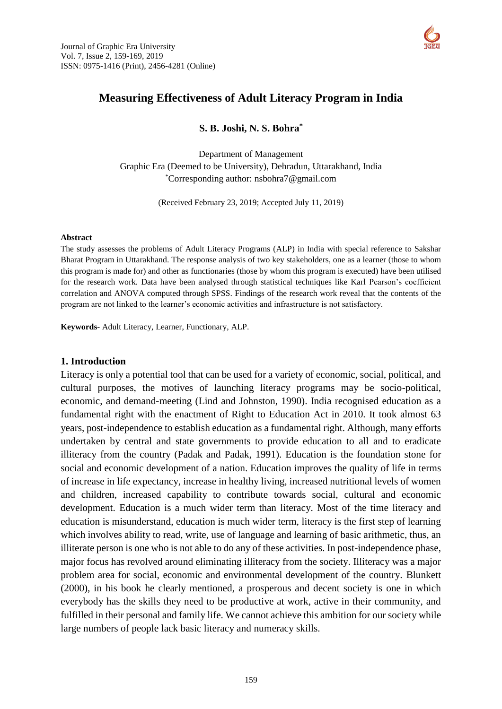

# **Measuring Effectiveness of Adult Literacy Program in India**

**S. B. Joshi, N. S. Bohra\***

Department of Management Graphic Era (Deemed to be University), Dehradun, Uttarakhand, India \*Corresponding author: [nsbohra7@gmail.com](mailto:nsbohra7@gmail.com)

(Received February 23, 2019; Accepted July 11, 2019)

#### **Abstract**

The study assesses the problems of Adult Literacy Programs (ALP) in India with special reference to Sakshar Bharat Program in Uttarakhand. The response analysis of two key stakeholders, one as a learner (those to whom this program is made for) and other as functionaries (those by whom this program is executed) have been utilised for the research work. Data have been analysed through statistical techniques like Karl Pearson's coefficient correlation and ANOVA computed through SPSS. Findings of the research work reveal that the contents of the program are not linked to the learner's economic activities and infrastructure is not satisfactory.

**Keywords**- Adult Literacy, Learner, Functionary, ALP.

#### **1. Introduction**

Literacy is only a potential tool that can be used for a variety of economic, social, political, and cultural purposes, the motives of launching literacy programs may be socio-political, economic, and demand-meeting (Lind and Johnston, 1990). India recognised education as a fundamental right with the enactment of Right to Education Act in 2010. It took almost 63 years, post-independence to establish education as a fundamental right. Although, many efforts undertaken by central and state governments to provide education to all and to eradicate illiteracy from the country (Padak and Padak, 1991). Education is the foundation stone for social and economic development of a nation. Education improves the quality of life in terms of increase in life expectancy, increase in healthy living, increased nutritional levels of women and children, increased capability to contribute towards social, cultural and economic development. Education is a much wider term than literacy. Most of the time literacy and education is misunderstand, education is much wider term, literacy is the first step of learning which involves ability to read, write, use of language and learning of basic arithmetic, thus, an illiterate person is one who is not able to do any of these activities. In post-independence phase, major focus has revolved around eliminating illiteracy from the society. Illiteracy was a major problem area for social, economic and environmental development of the country. Blunkett (2000), in his book he clearly mentioned, a prosperous and decent society is one in which everybody has the skills they need to be productive at work, active in their community, and fulfilled in their personal and family life. We cannot achieve this ambition for our society while large numbers of people lack basic literacy and numeracy skills.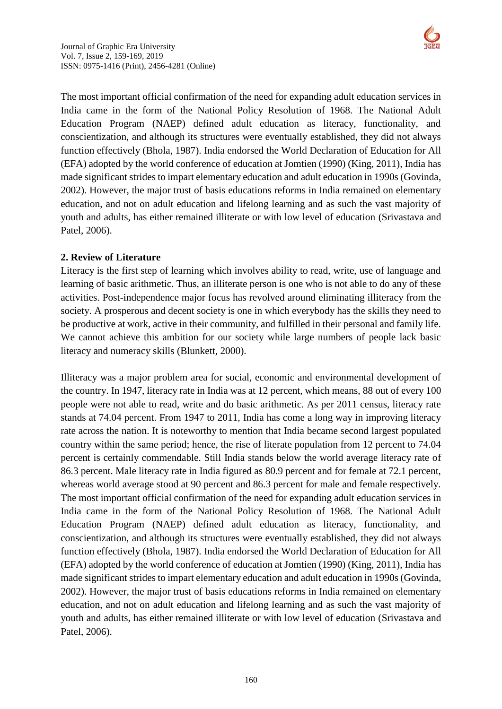

The most important official confirmation of the need for expanding adult education services in India came in the form of the National Policy Resolution of 1968. The National Adult Education Program (NAEP) defined adult education as literacy, functionality, and conscientization, and although its structures were eventually established, they did not always function effectively (Bhola, 1987). India endorsed the World Declaration of Education for All (EFA) adopted by the world conference of education at Jomtien (1990) (King, 2011), India has made significant strides to impart elementary education and adult education in 1990s (Govinda, 2002). However, the major trust of basis educations reforms in India remained on elementary education, and not on adult education and lifelong learning and as such the vast majority of youth and adults, has either remained illiterate or with low level of education (Srivastava and Patel, 2006).

## **2. Review of Literature**

Literacy is the first step of learning which involves ability to read, write, use of language and learning of basic arithmetic. Thus, an illiterate person is one who is not able to do any of these activities. Post-independence major focus has revolved around eliminating illiteracy from the society. A prosperous and decent society is one in which everybody has the skills they need to be productive at work, active in their community, and fulfilled in their personal and family life. We cannot achieve this ambition for our society while large numbers of people lack basic literacy and numeracy skills (Blunkett, 2000).

Illiteracy was a major problem area for social, economic and environmental development of the country. In 1947, literacy rate in India was at 12 percent, which means, 88 out of every 100 people were not able to read, write and do basic arithmetic. As per 2011 census, literacy rate stands at 74.04 percent. From 1947 to 2011, India has come a long way in improving literacy rate across the nation. It is noteworthy to mention that India became second largest populated country within the same period; hence, the rise of literate population from 12 percent to 74.04 percent is certainly commendable. Still India stands below the world average literacy rate of 86.3 percent. Male literacy rate in India figured as 80.9 percent and for female at 72.1 percent, whereas world average stood at 90 percent and 86.3 percent for male and female respectively. The most important official confirmation of the need for expanding adult education services in India came in the form of the National Policy Resolution of 1968. The National Adult Education Program (NAEP) defined adult education as literacy, functionality, and conscientization, and although its structures were eventually established, they did not always function effectively (Bhola, 1987). India endorsed the World Declaration of Education for All (EFA) adopted by the world conference of education at Jomtien (1990) (King, 2011), India has made significant strides to impart elementary education and adult education in 1990s (Govinda, 2002). However, the major trust of basis educations reforms in India remained on elementary education, and not on adult education and lifelong learning and as such the vast majority of youth and adults, has either remained illiterate or with low level of education (Srivastava and Patel, 2006).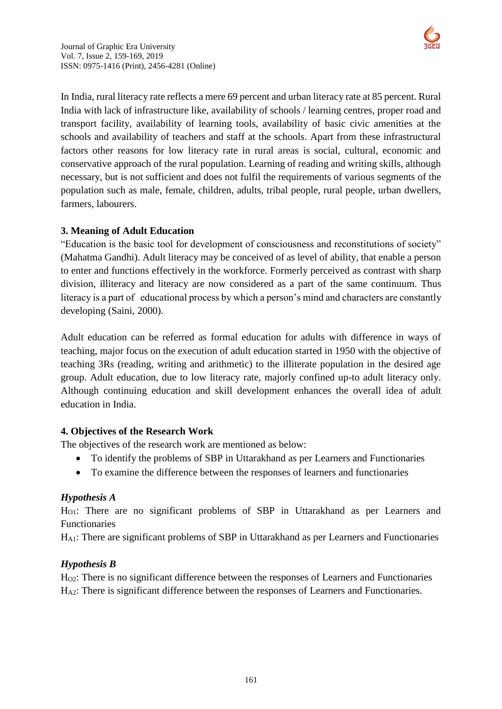

In India, rural literacy rate reflects a mere 69 percent and urban literacy rate at 85 percent. Rural India with lack of infrastructure like, availability of schools / learning centres, proper road and transport facility, availability of learning tools, availability of basic civic amenities at the schools and availability of teachers and staff at the schools. Apart from these infrastructural factors other reasons for low literacy rate in rural areas is social, cultural, economic and conservative approach of the rural population. Learning of reading and writing skills, although necessary, but is not sufficient and does not fulfil the requirements of various segments of the population such as male, female, children, adults, tribal people, rural people, urban dwellers, farmers, labourers.

## **3. Meaning of Adult Education**

"Education is the basic tool for development of consciousness and reconstitutions of society" (Mahatma Gandhi). Adult literacy may be conceived of as level of ability, that enable a person to enter and functions effectively in the workforce. Formerly perceived as contrast with sharp division, illiteracy and literacy are now considered as a part of the same continuum. Thus literacy is a part of educational process by which a person's mind and characters are constantly developing (Saini, 2000).

Adult education can be referred as formal education for adults with difference in ways of teaching, major focus on the execution of adult education started in 1950 with the objective of teaching 3Rs (reading, writing and arithmetic) to the illiterate population in the desired age group. Adult education, due to low literacy rate, majorly confined up-to adult literacy only. Although continuing education and skill development enhances the overall idea of adult education in India.

## **4. Objectives of the Research Work**

The objectives of the research work are mentioned as below:

- To identify the problems of SBP in Uttarakhand as per Learners and Functionaries
- To examine the difference between the responses of learners and functionaries

## *Hypothesis A*

HO1: There are no significant problems of SBP in Uttarakhand as per Learners and Functionaries

HA1: There are significant problems of SBP in Uttarakhand as per Learners and Functionaries

## *Hypothesis B*

HO2: There is no significant difference between the responses of Learners and Functionaries HA2: There is significant difference between the responses of Learners and Functionaries.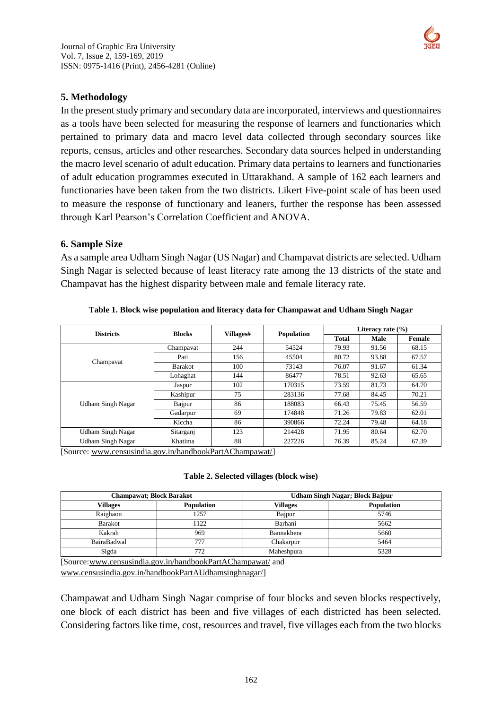

## **5. Methodology**

In the present study primary and secondary data are incorporated, interviews and questionnaires as a tools have been selected for measuring the response of learners and functionaries which pertained to primary data and macro level data collected through secondary sources like reports, census, articles and other researches. Secondary data sources helped in understanding the macro level scenario of adult education. Primary data pertains to learners and functionaries of adult education programmes executed in Uttarakhand. A sample of 162 each learners and functionaries have been taken from the two districts. Likert Five-point scale of has been used to measure the response of functionary and leaners, further the response has been assessed through Karl Pearson's Correlation Coefficient and ANOVA.

## **6. Sample Size**

As a sample area Udham Singh Nagar (US Nagar) and Champavat districts are selected. Udham Singh Nagar is selected because of least literacy rate among the 13 districts of the state and Champavat has the highest disparity between male and female literacy rate.

|                          |                |     | Villages#<br><b>Population</b> |       | Literacy rate $(\% )$ |        |  |  |
|--------------------------|----------------|-----|--------------------------------|-------|-----------------------|--------|--|--|
| <b>Districts</b>         | <b>Blocks</b>  |     |                                |       | Male                  | Female |  |  |
|                          | Champavat      | 244 | 54524                          | 79.93 | 91.56                 | 68.15  |  |  |
|                          | Pati           | 156 | 45504                          | 80.72 | 93.88                 | 67.57  |  |  |
| Champayat                | <b>Barakot</b> | 100 | 73143                          | 76.07 | 91.67                 | 61.34  |  |  |
|                          | Lohaghat       | 144 | 86477                          | 78.51 | 92.63                 | 65.65  |  |  |
|                          | Jaspur         | 102 | 170315                         | 73.59 | 81.73                 | 64.70  |  |  |
|                          | Kashipur       | 75  | 283136                         | 77.68 | 84.45                 | 70.21  |  |  |
| Udham Singh Nagar        | Bajpur         | 86  | 188083                         | 66.43 | 75.45                 | 56.59  |  |  |
|                          | Gadarpur       | 69  | 174848                         | 71.26 | 79.83                 | 62.01  |  |  |
|                          | Kiccha         | 86  | 390866                         | 72.24 | 79.48                 | 64.18  |  |  |
| <b>Udham Singh Nagar</b> | Sitarganj      | 123 | 214428                         | 71.95 | 80.64                 | 62.70  |  |  |
| <b>Udham Singh Nagar</b> | Khatima        | 88  | 227226                         | 76.39 | 85.24                 | 67.39  |  |  |

**Table 1. Block wise population and literacy data for Champawat and Udham Singh Nagar**

[Source: [www.censusindia.gov.in/handbookPartAChampawat/\]](http://www.censusindia.gov.in/handbookPartAChampawat/)

#### **Table 2. Selected villages (block wise)**

| <b>Champawat; Block Barakot</b> |                   | <b>Udham Singh Nagar; Block Bajpur</b> |            |  |  |
|---------------------------------|-------------------|----------------------------------------|------------|--|--|
| <b>Villages</b>                 | <b>Population</b> | Villages                               | Population |  |  |
| Raighaon                        | 1257              | Bajpur                                 | 5746       |  |  |
| Barakot                         | 1122              | Barhani                                | 5662       |  |  |
| Kakrah                          | 969               | Bannakhera                             | 5660       |  |  |
| BairaBadwal                     | 777               | Chakarpur                              | 5464       |  |  |
| Sigda                           | 772               | Maheshpura                             | 5328       |  |  |

[Source[:www.censusindia.gov.in/handbookPartAChampawat/](http://www.censusindia.gov.in/handbookPartAChampawat/) and [www.censusindia.gov.in/handbookPartAUdhamsinghnagar/\]](http://www.censusindia.gov.in/handbookPartAUdhamsinghnagar/)

Champawat and Udham Singh Nagar comprise of four blocks and seven blocks respectively, one block of each district has been and five villages of each districted has been selected. Considering factors like time, cost, resources and travel, five villages each from the two blocks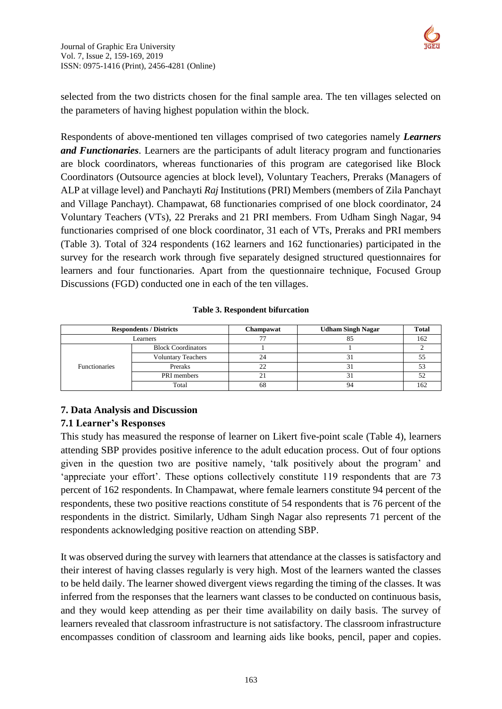

selected from the two districts chosen for the final sample area. The ten villages selected on the parameters of having highest population within the block.

Respondents of above-mentioned ten villages comprised of two categories namely *Learners and Functionaries*. Learners are the participants of adult literacy program and functionaries are block coordinators, whereas functionaries of this program are categorised like Block Coordinators (Outsource agencies at block level), Voluntary Teachers, Preraks (Managers of ALP at village level) and Panchayti *Raj* Institutions (PRI) Members (members of Zila Panchayt and Village Panchayt). Champawat, 68 functionaries comprised of one block coordinator, 24 Voluntary Teachers (VTs), 22 Preraks and 21 PRI members. From Udham Singh Nagar, 94 functionaries comprised of one block coordinator, 31 each of VTs, Preraks and PRI members (Table 3). Total of 324 respondents (162 learners and 162 functionaries) participated in the survey for the research work through five separately designed structured questionnaires for learners and four functionaries. Apart from the questionnaire technique, Focused Group Discussions (FGD) conducted one in each of the ten villages.

| <b>Respondents / Districts</b> |                           | Champawat | <b>Udham Singh Nagar</b> | <b>Total</b> |
|--------------------------------|---------------------------|-----------|--------------------------|--------------|
| Learners                       |                           |           |                          |              |
|                                | <b>Block Coordinators</b> |           |                          |              |
| <b>Functionaries</b>           | <b>Voluntary Teachers</b> |           |                          |              |
|                                | Preraks                   |           |                          |              |
|                                | PRI members               |           |                          |              |
|                                | Total                     | οŏ        |                          |              |

# **7. Data Analysis and Discussion**

## **7.1 Learner's Responses**

This study has measured the response of learner on Likert five-point scale (Table 4), learners attending SBP provides positive inference to the adult education process. Out of four options given in the question two are positive namely, 'talk positively about the program' and 'appreciate your effort'. These options collectively constitute 119 respondents that are 73 percent of 162 respondents. In Champawat, where female learners constitute 94 percent of the respondents, these two positive reactions constitute of 54 respondents that is 76 percent of the respondents in the district. Similarly, Udham Singh Nagar also represents 71 percent of the respondents acknowledging positive reaction on attending SBP.

It was observed during the survey with learners that attendance at the classes is satisfactory and their interest of having classes regularly is very high. Most of the learners wanted the classes to be held daily. The learner showed divergent views regarding the timing of the classes. It was inferred from the responses that the learners want classes to be conducted on continuous basis, and they would keep attending as per their time availability on daily basis. The survey of learners revealed that classroom infrastructure is not satisfactory. The classroom infrastructure encompasses condition of classroom and learning aids like books, pencil, paper and copies.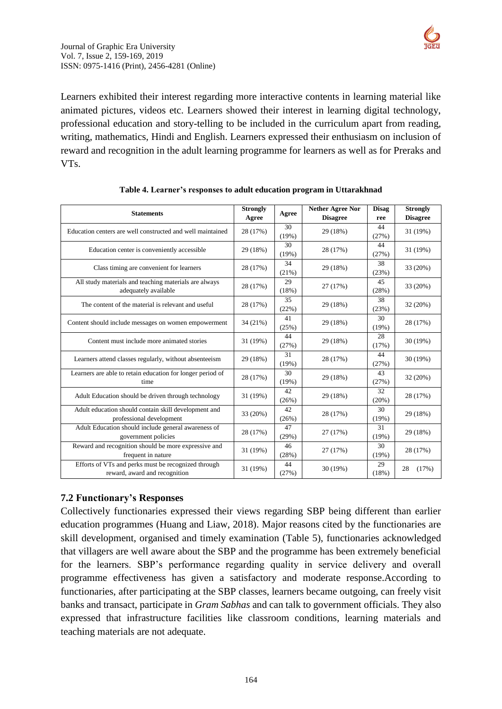

Learners exhibited their interest regarding more interactive contents in learning material like animated pictures, videos etc. Learners showed their interest in learning digital technology, professional education and story-telling to be included in the curriculum apart from reading, writing, mathematics, Hindi and English. Learners expressed their enthusiasm on inclusion of reward and recognition in the adult learning programme for learners as well as for Preraks and VTs.

| <b>Statements</b>                                                                    | <b>Strongly</b><br>Agree | Agree       | <b>Nether Agree Nor</b><br><b>Disagree</b> | <b>Disag</b><br>ree | <b>Strongly</b><br><b>Disagree</b> |
|--------------------------------------------------------------------------------------|--------------------------|-------------|--------------------------------------------|---------------------|------------------------------------|
| Education centers are well constructed and well maintained                           | 28 (17%)                 | 30<br>(19%) | 29 (18%)                                   | 44<br>(27%)         | 31 (19%)                           |
| Education center is conveniently accessible                                          | 29 (18%)                 | 30<br>(19%) | 28 (17%)                                   | 44<br>(27%)         | 31 (19%)                           |
| Class timing are convenient for learners                                             | 28 (17%)                 | 34<br>(21%) | 29 (18%)                                   | 38<br>(23%)         | 33 (20%)                           |
| All study materials and teaching materials are always<br>adequately available        | 28 (17%)                 | 29<br>(18%) | 27 (17%)                                   | 45<br>(28%)         | 33 (20%)                           |
| The content of the material is relevant and useful                                   | 28 (17%)                 | 35<br>(22%) | 29 (18%)                                   | 38<br>(23%)         | 32 (20%)                           |
| Content should include messages on women empowerment                                 | 34 (21%)                 | 41<br>(25%) | 29 (18%)                                   | 30<br>(19%)         | 28 (17%)                           |
| Content must include more animated stories                                           | 31 (19%)                 | 44<br>(27%) | 29 (18%)                                   | 28<br>(17%)         | 30 (19%)                           |
| Learners attend classes regularly, without absenteeism                               | 29 (18%)                 | 31<br>(19%) | 28 (17%)                                   | 44<br>(27%)         | 30 (19%)                           |
| Learners are able to retain education for longer period of<br>time                   | 28 (17%)                 | 30<br>(19%) | 29 (18%)                                   | 43<br>(27%)         | 32 (20%)                           |
| Adult Education should be driven through technology                                  | 31 (19%)                 | 42<br>(26%) | 29 (18%)                                   | 32<br>(20%)         | 28 (17%)                           |
| Adult education should contain skill development and<br>professional development     | 33 (20%)                 | 42<br>(26%) | 28 (17%)                                   | 30<br>(19%)         | 29 (18%)                           |
| Adult Education should include general awareness of<br>government policies           | 28 (17%)                 | 47<br>(29%) | 27 (17%)                                   | 31<br>(19%)         | 29 (18%)                           |
| Reward and recognition should be more expressive and<br>frequent in nature           | 31 (19%)                 | 46<br>(28%) | 27 (17%)                                   | 30<br>(19%)         | 28 (17%)                           |
| Efforts of VTs and perks must be recognized through<br>reward, award and recognition | 31 (19%)                 | 44<br>(27%) | 30 (19%)                                   | 29<br>(18%)         | 28<br>(17%)                        |

|  | Table 4. Learner's responses to adult education program in Uttarakhnad |
|--|------------------------------------------------------------------------|
|--|------------------------------------------------------------------------|

## **7.2 Functionary's Responses**

Collectively functionaries expressed their views regarding SBP being different than earlier education programmes (Huang and Liaw, 2018). Major reasons cited by the functionaries are skill development, organised and timely examination (Table 5), functionaries acknowledged that villagers are well aware about the SBP and the programme has been extremely beneficial for the learners. SBP's performance regarding quality in service delivery and overall programme effectiveness has given a satisfactory and moderate response.According to functionaries, after participating at the SBP classes, learners became outgoing, can freely visit banks and transact, participate in *Gram Sabhas* and can talk to government officials. They also expressed that infrastructure facilities like classroom conditions, learning materials and teaching materials are not adequate.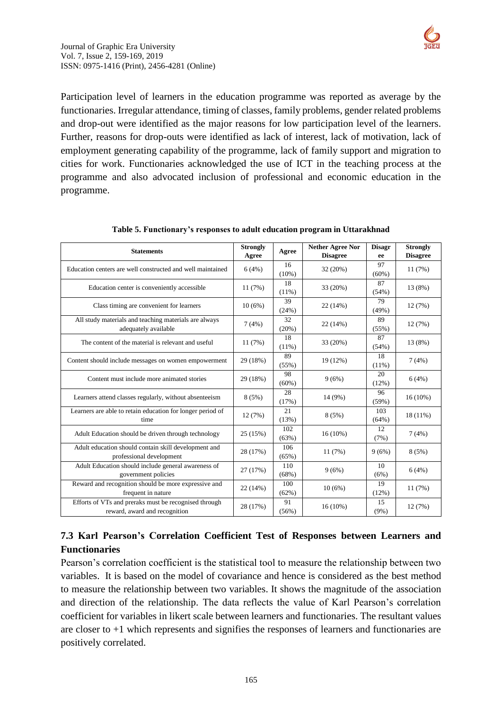

Participation level of learners in the education programme was reported as average by the functionaries. Irregular attendance, timing of classes, family problems, gender related problems and drop-out were identified as the major reasons for low participation level of the learners. Further, reasons for drop-outs were identified as lack of interest, lack of motivation, lack of employment generating capability of the programme, lack of family support and migration to cities for work. Functionaries acknowledged the use of ICT in the teaching process at the programme and also advocated inclusion of professional and economic education in the programme.

| <b>Statements</b>                                                                      | <b>Strongly</b> | Agree          | <b>Nether Agree Nor</b> | <b>Disagr</b>  | <b>Strongly</b> |
|----------------------------------------------------------------------------------------|-----------------|----------------|-------------------------|----------------|-----------------|
|                                                                                        | Agree           |                | <b>Disagree</b>         | ee             | <b>Disagree</b> |
| Education centers are well constructed and well maintained                             | 6(4%)           | 16<br>$(10\%)$ | 32 (20%)                | 97<br>$(60\%)$ | 11(7%)          |
| Education center is conveniently accessible                                            | 11(7%)          | 18<br>(11%)    | 33 (20%)                | 87<br>(54%)    | 13 (8%)         |
| Class timing are convenient for learners                                               | 10(6%)          | 39<br>(24%)    | 22(14%)                 | 79<br>(49%)    | 12(7%)          |
| All study materials and teaching materials are always<br>adequately available          | 7(4%)           | 32<br>(20%)    | 22 (14%)                | 89<br>(55%)    | 12(7%)          |
| The content of the material is relevant and useful                                     | 11(7%)          | 18<br>(11%)    | 33 (20%)                | 87<br>(54%)    | 13 (8%)         |
| Content should include messages on women empowerment                                   | 29 (18%)        | 89<br>(55%)    | 19 (12%)                | 18<br>(11%)    | 7(4%)           |
| Content must include more animated stories                                             | 29 (18%)        | 98<br>$(60\%)$ | 9(6%)                   | 20<br>(12%)    | 6(4%)           |
| Learners attend classes regularly, without absenteeism                                 | 8(5%)           | 28<br>(17%)    | 14 (9%)                 | 96<br>(59%)    | $16(10\%)$      |
| Learners are able to retain education for longer period of<br>time                     | 12(7%)          | 21<br>(13%)    | 8(5%)                   | 103<br>(64%)   | 18 (11%)        |
| Adult Education should be driven through technology                                    | 25 (15%)        | 102<br>(63%)   | $16(10\%)$              | 12<br>(7%)     | 7(4%)           |
| Adult education should contain skill development and<br>professional development       | 28 (17%)        | 106<br>(65%)   | 11(7%)                  | 9(6%)          | 8(5%)           |
| Adult Education should include general awareness of<br>government policies             | 27 (17%)        | 110<br>(68%)   | 9(6%)                   | 10<br>(6%)     | 6(4%)           |
| Reward and recognition should be more expressive and<br>frequent in nature             | 22 (14%)        | 100<br>(62%)   | 10(6%)                  | 19<br>(12%)    | 11(7%)          |
| Efforts of VTs and preraks must be recognised through<br>reward, award and recognition | 28 (17%)        | 91<br>(56%)    | 16 (10%)                | 15<br>$(9\%)$  | 12 (7%)         |

| Table 5. Functionary's responses to adult education program in Uttarakhnad |  |  |
|----------------------------------------------------------------------------|--|--|
|                                                                            |  |  |

# **7.3 Karl Pearson's Correlation Coefficient Test of Responses between Learners and Functionaries**

Pearson's correlation coefficient is the statistical tool to measure the relationship between two variables. It is based on the model of covariance and hence is considered as the best method to measure the relationship between two variables. It shows the magnitude of the association and direction of the relationship. The data reflects the value of Karl Pearson's correlation coefficient for variables in likert scale between learners and functionaries. The resultant values are closer to +1 which represents and signifies the responses of learners and functionaries are positively correlated.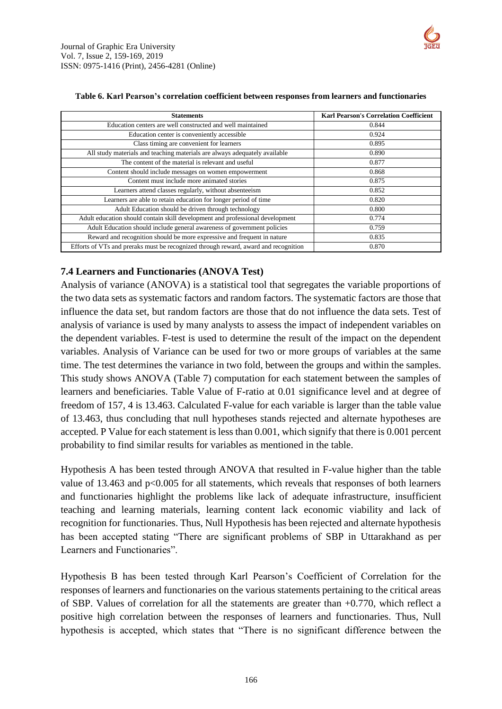

| Table 6. Karl Pearson's correlation coefficient between responses from learners and functionaries |                                               |
|---------------------------------------------------------------------------------------------------|-----------------------------------------------|
| <b>Statements</b>                                                                                 | <b>Karl Pearson's Correlation Coefficient</b> |
| The contract consequence and constructed and contract members of                                  | 0.011                                         |

| Education centers are well constructed and well maintained                          | 0.844 |
|-------------------------------------------------------------------------------------|-------|
| Education center is conveniently accessible                                         | 0.924 |
| Class timing are convenient for learners                                            | 0.895 |
| All study materials and teaching materials are always adequately available          | 0.890 |
| The content of the material is relevant and useful                                  | 0.877 |
| Content should include messages on women empowerment                                | 0.868 |
| Content must include more animated stories                                          | 0.875 |
| Learners attend classes regularly, without absenteeism                              | 0.852 |
| Learners are able to retain education for longer period of time                     | 0.820 |
| Adult Education should be driven through technology                                 | 0.800 |
| Adult education should contain skill development and professional development       | 0.774 |
| Adult Education should include general awareness of government policies             | 0.759 |
| Reward and recognition should be more expressive and frequent in nature             | 0.835 |
| Efforts of VTs and preraks must be recognized through reward, award and recognition | 0.870 |

## **7.4 Learners and Functionaries (ANOVA Test)**

Analysis of variance (ANOVA) is a statistical tool that segregates the variable proportions of the two data sets as systematic factors and random factors. The systematic factors are those that influence the data set, but random factors are those that do not influence the data sets. Test of analysis of variance is used by many analysts to assess the impact of independent variables on the dependent variables. F-test is used to determine the result of the impact on the dependent variables. Analysis of Variance can be used for two or more groups of variables at the same time. The test determines the variance in two fold, between the groups and within the samples. This study shows ANOVA (Table 7) computation for each statement between the samples of learners and beneficiaries. Table Value of F-ratio at 0.01 significance level and at degree of freedom of 157, 4 is 13.463. Calculated F-value for each variable is larger than the table value of 13.463, thus concluding that null hypotheses stands rejected and alternate hypotheses are accepted. P Value for each statement is less than 0.001, which signify that there is 0.001 percent probability to find similar results for variables as mentioned in the table.

Hypothesis A has been tested through ANOVA that resulted in F-value higher than the table value of 13.463 and p<0.005 for all statements, which reveals that responses of both learners and functionaries highlight the problems like lack of adequate infrastructure, insufficient teaching and learning materials, learning content lack economic viability and lack of recognition for functionaries. Thus, Null Hypothesis has been rejected and alternate hypothesis has been accepted stating "There are significant problems of SBP in Uttarakhand as per Learners and Functionaries".

Hypothesis B has been tested through Karl Pearson's Coefficient of Correlation for the responses of learners and functionaries on the various statements pertaining to the critical areas of SBP. Values of correlation for all the statements are greater than  $+0.770$ , which reflect a positive high correlation between the responses of learners and functionaries. Thus, Null hypothesis is accepted, which states that "There is no significant difference between the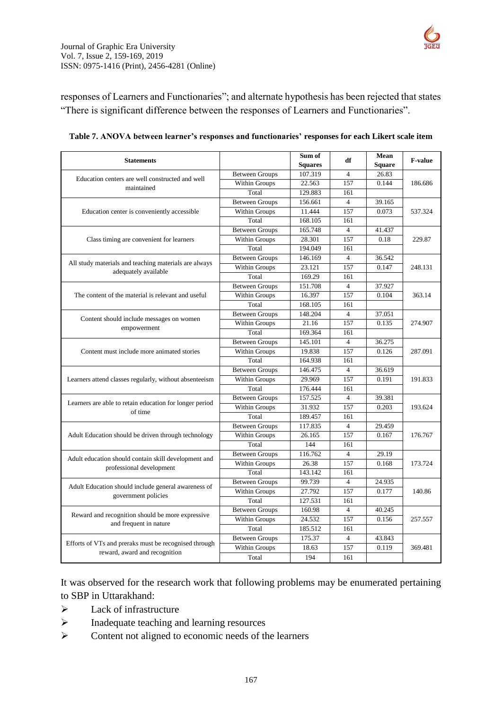

responses of Learners and Functionaries"; and alternate hypothesis has been rejected that states "There is significant difference between the responses of Learners and Functionaries".

| <b>Squares</b><br><b>Square</b><br>107.319<br><b>Between Groups</b><br>26.83<br>$\overline{4}$<br>Education centers are well constructed and well<br>157<br>Within Groups<br>22.563<br>0.144<br>186.686<br>maintained<br>Total<br>129.883<br>161<br><b>Between Groups</b><br>156.661<br>$\overline{4}$<br>39.165<br>Within Groups<br>157<br>0.073<br>11.444<br>Education center is conveniently accessible<br>537.324<br>168.105<br>Total<br>161<br><b>Between Groups</b><br>165.748<br>$\overline{4}$<br>41.437<br>Within Groups<br>0.18<br>Class timing are convenient for learners<br>28.301<br>157<br>229.87<br>Total<br>194.049<br>161<br><b>Between Groups</b><br>$\overline{4}$<br>146.169<br>36.542<br>All study materials and teaching materials are always<br>Within Groups<br>23.121<br>157<br>0.147<br>248.131<br>adequately available<br>Total<br>169.29<br>161<br><b>Between Groups</b><br>151.708<br>$\overline{4}$<br>37.927<br>Within Groups<br>16.397<br>157<br>0.104<br>The content of the material is relevant and useful<br>363.14<br>Total<br>168.105<br>161<br><b>Between Groups</b><br>148.204<br>$\overline{4}$<br>37.051<br>Content should include messages on women<br>Within Groups<br>21.16<br>157<br>0.135<br>274.907<br>empowerment<br>Total<br>169.364<br>161<br><b>Between Groups</b><br>145.101<br>$\overline{4}$<br>36.275<br>Within Groups<br>19.838<br>157<br>0.126<br>Content must include more animated stories<br>287.091<br>Total<br>164.938<br>161<br><b>Between Groups</b><br>$\overline{4}$<br>146.475<br>36.619<br><b>Within Groups</b><br>29.969<br>157<br>0.191<br>Learners attend classes regularly, without absenteeism<br>191.833<br>Total<br>176.444<br>161<br><b>Between Groups</b><br>157.525<br>$\overline{4}$<br>39.381<br>Learners are able to retain education for longer period<br>157<br>0.203<br>Within Groups<br>31.932<br>193.624<br>of time<br>189.457<br>Total<br>161<br>117.835<br>$\overline{4}$<br><b>Between Groups</b><br>29.459<br><b>Within Groups</b><br>157<br>0.167<br>Adult Education should be driven through technology<br>26.165<br>176.767<br>Total<br>144<br>161<br><b>Between Groups</b><br>116.762<br>$\overline{4}$<br>29.19<br>Adult education should contain skill development and<br>Within Groups<br>26.38<br>157<br>0.168<br>173.724<br>professional development<br>Total<br>143.142<br>161<br><b>Between Groups</b><br>99.739<br>$\overline{4}$<br>24.935<br>Adult Education should include general awareness of<br><b>Within Groups</b><br>27.792<br>0.177<br>157<br>140.86<br>government policies<br>Total<br>127.531<br>161<br><b>Between Groups</b><br>$\overline{4}$<br>40.245<br>160.98<br>Reward and recognition should be more expressive<br>Within Groups<br>24.532<br>157<br>0.156<br>257.557<br>and frequent in nature | <b>Statements</b> |       | Sum of  | df  | Mean | F-value |  |  |
|----------------------------------------------------------------------------------------------------------------------------------------------------------------------------------------------------------------------------------------------------------------------------------------------------------------------------------------------------------------------------------------------------------------------------------------------------------------------------------------------------------------------------------------------------------------------------------------------------------------------------------------------------------------------------------------------------------------------------------------------------------------------------------------------------------------------------------------------------------------------------------------------------------------------------------------------------------------------------------------------------------------------------------------------------------------------------------------------------------------------------------------------------------------------------------------------------------------------------------------------------------------------------------------------------------------------------------------------------------------------------------------------------------------------------------------------------------------------------------------------------------------------------------------------------------------------------------------------------------------------------------------------------------------------------------------------------------------------------------------------------------------------------------------------------------------------------------------------------------------------------------------------------------------------------------------------------------------------------------------------------------------------------------------------------------------------------------------------------------------------------------------------------------------------------------------------------------------------------------------------------------------------------------------------------------------------------------------------------------------------------------------------------------------------------------------------------------------------------------------------------------------------------------------------------------------------------------------------------------------------------------------------------------------------------------------------------------------------------------------------------------------------------------------------------------------------------|-------------------|-------|---------|-----|------|---------|--|--|
|                                                                                                                                                                                                                                                                                                                                                                                                                                                                                                                                                                                                                                                                                                                                                                                                                                                                                                                                                                                                                                                                                                                                                                                                                                                                                                                                                                                                                                                                                                                                                                                                                                                                                                                                                                                                                                                                                                                                                                                                                                                                                                                                                                                                                                                                                                                                                                                                                                                                                                                                                                                                                                                                                                                                                                                                                            |                   |       |         |     |      |         |  |  |
|                                                                                                                                                                                                                                                                                                                                                                                                                                                                                                                                                                                                                                                                                                                                                                                                                                                                                                                                                                                                                                                                                                                                                                                                                                                                                                                                                                                                                                                                                                                                                                                                                                                                                                                                                                                                                                                                                                                                                                                                                                                                                                                                                                                                                                                                                                                                                                                                                                                                                                                                                                                                                                                                                                                                                                                                                            |                   |       |         |     |      |         |  |  |
|                                                                                                                                                                                                                                                                                                                                                                                                                                                                                                                                                                                                                                                                                                                                                                                                                                                                                                                                                                                                                                                                                                                                                                                                                                                                                                                                                                                                                                                                                                                                                                                                                                                                                                                                                                                                                                                                                                                                                                                                                                                                                                                                                                                                                                                                                                                                                                                                                                                                                                                                                                                                                                                                                                                                                                                                                            |                   |       |         |     |      |         |  |  |
|                                                                                                                                                                                                                                                                                                                                                                                                                                                                                                                                                                                                                                                                                                                                                                                                                                                                                                                                                                                                                                                                                                                                                                                                                                                                                                                                                                                                                                                                                                                                                                                                                                                                                                                                                                                                                                                                                                                                                                                                                                                                                                                                                                                                                                                                                                                                                                                                                                                                                                                                                                                                                                                                                                                                                                                                                            |                   |       |         |     |      |         |  |  |
|                                                                                                                                                                                                                                                                                                                                                                                                                                                                                                                                                                                                                                                                                                                                                                                                                                                                                                                                                                                                                                                                                                                                                                                                                                                                                                                                                                                                                                                                                                                                                                                                                                                                                                                                                                                                                                                                                                                                                                                                                                                                                                                                                                                                                                                                                                                                                                                                                                                                                                                                                                                                                                                                                                                                                                                                                            |                   |       |         |     |      |         |  |  |
|                                                                                                                                                                                                                                                                                                                                                                                                                                                                                                                                                                                                                                                                                                                                                                                                                                                                                                                                                                                                                                                                                                                                                                                                                                                                                                                                                                                                                                                                                                                                                                                                                                                                                                                                                                                                                                                                                                                                                                                                                                                                                                                                                                                                                                                                                                                                                                                                                                                                                                                                                                                                                                                                                                                                                                                                                            |                   |       |         |     |      |         |  |  |
|                                                                                                                                                                                                                                                                                                                                                                                                                                                                                                                                                                                                                                                                                                                                                                                                                                                                                                                                                                                                                                                                                                                                                                                                                                                                                                                                                                                                                                                                                                                                                                                                                                                                                                                                                                                                                                                                                                                                                                                                                                                                                                                                                                                                                                                                                                                                                                                                                                                                                                                                                                                                                                                                                                                                                                                                                            |                   |       |         |     |      |         |  |  |
|                                                                                                                                                                                                                                                                                                                                                                                                                                                                                                                                                                                                                                                                                                                                                                                                                                                                                                                                                                                                                                                                                                                                                                                                                                                                                                                                                                                                                                                                                                                                                                                                                                                                                                                                                                                                                                                                                                                                                                                                                                                                                                                                                                                                                                                                                                                                                                                                                                                                                                                                                                                                                                                                                                                                                                                                                            |                   |       |         |     |      |         |  |  |
|                                                                                                                                                                                                                                                                                                                                                                                                                                                                                                                                                                                                                                                                                                                                                                                                                                                                                                                                                                                                                                                                                                                                                                                                                                                                                                                                                                                                                                                                                                                                                                                                                                                                                                                                                                                                                                                                                                                                                                                                                                                                                                                                                                                                                                                                                                                                                                                                                                                                                                                                                                                                                                                                                                                                                                                                                            |                   |       |         |     |      |         |  |  |
|                                                                                                                                                                                                                                                                                                                                                                                                                                                                                                                                                                                                                                                                                                                                                                                                                                                                                                                                                                                                                                                                                                                                                                                                                                                                                                                                                                                                                                                                                                                                                                                                                                                                                                                                                                                                                                                                                                                                                                                                                                                                                                                                                                                                                                                                                                                                                                                                                                                                                                                                                                                                                                                                                                                                                                                                                            |                   |       |         |     |      |         |  |  |
|                                                                                                                                                                                                                                                                                                                                                                                                                                                                                                                                                                                                                                                                                                                                                                                                                                                                                                                                                                                                                                                                                                                                                                                                                                                                                                                                                                                                                                                                                                                                                                                                                                                                                                                                                                                                                                                                                                                                                                                                                                                                                                                                                                                                                                                                                                                                                                                                                                                                                                                                                                                                                                                                                                                                                                                                                            |                   |       |         |     |      |         |  |  |
|                                                                                                                                                                                                                                                                                                                                                                                                                                                                                                                                                                                                                                                                                                                                                                                                                                                                                                                                                                                                                                                                                                                                                                                                                                                                                                                                                                                                                                                                                                                                                                                                                                                                                                                                                                                                                                                                                                                                                                                                                                                                                                                                                                                                                                                                                                                                                                                                                                                                                                                                                                                                                                                                                                                                                                                                                            |                   |       |         |     |      |         |  |  |
|                                                                                                                                                                                                                                                                                                                                                                                                                                                                                                                                                                                                                                                                                                                                                                                                                                                                                                                                                                                                                                                                                                                                                                                                                                                                                                                                                                                                                                                                                                                                                                                                                                                                                                                                                                                                                                                                                                                                                                                                                                                                                                                                                                                                                                                                                                                                                                                                                                                                                                                                                                                                                                                                                                                                                                                                                            |                   |       |         |     |      |         |  |  |
|                                                                                                                                                                                                                                                                                                                                                                                                                                                                                                                                                                                                                                                                                                                                                                                                                                                                                                                                                                                                                                                                                                                                                                                                                                                                                                                                                                                                                                                                                                                                                                                                                                                                                                                                                                                                                                                                                                                                                                                                                                                                                                                                                                                                                                                                                                                                                                                                                                                                                                                                                                                                                                                                                                                                                                                                                            |                   |       |         |     |      |         |  |  |
|                                                                                                                                                                                                                                                                                                                                                                                                                                                                                                                                                                                                                                                                                                                                                                                                                                                                                                                                                                                                                                                                                                                                                                                                                                                                                                                                                                                                                                                                                                                                                                                                                                                                                                                                                                                                                                                                                                                                                                                                                                                                                                                                                                                                                                                                                                                                                                                                                                                                                                                                                                                                                                                                                                                                                                                                                            |                   |       |         |     |      |         |  |  |
|                                                                                                                                                                                                                                                                                                                                                                                                                                                                                                                                                                                                                                                                                                                                                                                                                                                                                                                                                                                                                                                                                                                                                                                                                                                                                                                                                                                                                                                                                                                                                                                                                                                                                                                                                                                                                                                                                                                                                                                                                                                                                                                                                                                                                                                                                                                                                                                                                                                                                                                                                                                                                                                                                                                                                                                                                            |                   |       |         |     |      |         |  |  |
|                                                                                                                                                                                                                                                                                                                                                                                                                                                                                                                                                                                                                                                                                                                                                                                                                                                                                                                                                                                                                                                                                                                                                                                                                                                                                                                                                                                                                                                                                                                                                                                                                                                                                                                                                                                                                                                                                                                                                                                                                                                                                                                                                                                                                                                                                                                                                                                                                                                                                                                                                                                                                                                                                                                                                                                                                            |                   |       |         |     |      |         |  |  |
|                                                                                                                                                                                                                                                                                                                                                                                                                                                                                                                                                                                                                                                                                                                                                                                                                                                                                                                                                                                                                                                                                                                                                                                                                                                                                                                                                                                                                                                                                                                                                                                                                                                                                                                                                                                                                                                                                                                                                                                                                                                                                                                                                                                                                                                                                                                                                                                                                                                                                                                                                                                                                                                                                                                                                                                                                            |                   |       |         |     |      |         |  |  |
|                                                                                                                                                                                                                                                                                                                                                                                                                                                                                                                                                                                                                                                                                                                                                                                                                                                                                                                                                                                                                                                                                                                                                                                                                                                                                                                                                                                                                                                                                                                                                                                                                                                                                                                                                                                                                                                                                                                                                                                                                                                                                                                                                                                                                                                                                                                                                                                                                                                                                                                                                                                                                                                                                                                                                                                                                            |                   |       |         |     |      |         |  |  |
|                                                                                                                                                                                                                                                                                                                                                                                                                                                                                                                                                                                                                                                                                                                                                                                                                                                                                                                                                                                                                                                                                                                                                                                                                                                                                                                                                                                                                                                                                                                                                                                                                                                                                                                                                                                                                                                                                                                                                                                                                                                                                                                                                                                                                                                                                                                                                                                                                                                                                                                                                                                                                                                                                                                                                                                                                            |                   |       |         |     |      |         |  |  |
|                                                                                                                                                                                                                                                                                                                                                                                                                                                                                                                                                                                                                                                                                                                                                                                                                                                                                                                                                                                                                                                                                                                                                                                                                                                                                                                                                                                                                                                                                                                                                                                                                                                                                                                                                                                                                                                                                                                                                                                                                                                                                                                                                                                                                                                                                                                                                                                                                                                                                                                                                                                                                                                                                                                                                                                                                            |                   |       |         |     |      |         |  |  |
|                                                                                                                                                                                                                                                                                                                                                                                                                                                                                                                                                                                                                                                                                                                                                                                                                                                                                                                                                                                                                                                                                                                                                                                                                                                                                                                                                                                                                                                                                                                                                                                                                                                                                                                                                                                                                                                                                                                                                                                                                                                                                                                                                                                                                                                                                                                                                                                                                                                                                                                                                                                                                                                                                                                                                                                                                            |                   |       |         |     |      |         |  |  |
|                                                                                                                                                                                                                                                                                                                                                                                                                                                                                                                                                                                                                                                                                                                                                                                                                                                                                                                                                                                                                                                                                                                                                                                                                                                                                                                                                                                                                                                                                                                                                                                                                                                                                                                                                                                                                                                                                                                                                                                                                                                                                                                                                                                                                                                                                                                                                                                                                                                                                                                                                                                                                                                                                                                                                                                                                            |                   |       |         |     |      |         |  |  |
|                                                                                                                                                                                                                                                                                                                                                                                                                                                                                                                                                                                                                                                                                                                                                                                                                                                                                                                                                                                                                                                                                                                                                                                                                                                                                                                                                                                                                                                                                                                                                                                                                                                                                                                                                                                                                                                                                                                                                                                                                                                                                                                                                                                                                                                                                                                                                                                                                                                                                                                                                                                                                                                                                                                                                                                                                            |                   |       |         |     |      |         |  |  |
|                                                                                                                                                                                                                                                                                                                                                                                                                                                                                                                                                                                                                                                                                                                                                                                                                                                                                                                                                                                                                                                                                                                                                                                                                                                                                                                                                                                                                                                                                                                                                                                                                                                                                                                                                                                                                                                                                                                                                                                                                                                                                                                                                                                                                                                                                                                                                                                                                                                                                                                                                                                                                                                                                                                                                                                                                            |                   |       |         |     |      |         |  |  |
|                                                                                                                                                                                                                                                                                                                                                                                                                                                                                                                                                                                                                                                                                                                                                                                                                                                                                                                                                                                                                                                                                                                                                                                                                                                                                                                                                                                                                                                                                                                                                                                                                                                                                                                                                                                                                                                                                                                                                                                                                                                                                                                                                                                                                                                                                                                                                                                                                                                                                                                                                                                                                                                                                                                                                                                                                            |                   |       |         |     |      |         |  |  |
|                                                                                                                                                                                                                                                                                                                                                                                                                                                                                                                                                                                                                                                                                                                                                                                                                                                                                                                                                                                                                                                                                                                                                                                                                                                                                                                                                                                                                                                                                                                                                                                                                                                                                                                                                                                                                                                                                                                                                                                                                                                                                                                                                                                                                                                                                                                                                                                                                                                                                                                                                                                                                                                                                                                                                                                                                            |                   |       |         |     |      |         |  |  |
|                                                                                                                                                                                                                                                                                                                                                                                                                                                                                                                                                                                                                                                                                                                                                                                                                                                                                                                                                                                                                                                                                                                                                                                                                                                                                                                                                                                                                                                                                                                                                                                                                                                                                                                                                                                                                                                                                                                                                                                                                                                                                                                                                                                                                                                                                                                                                                                                                                                                                                                                                                                                                                                                                                                                                                                                                            |                   |       |         |     |      |         |  |  |
|                                                                                                                                                                                                                                                                                                                                                                                                                                                                                                                                                                                                                                                                                                                                                                                                                                                                                                                                                                                                                                                                                                                                                                                                                                                                                                                                                                                                                                                                                                                                                                                                                                                                                                                                                                                                                                                                                                                                                                                                                                                                                                                                                                                                                                                                                                                                                                                                                                                                                                                                                                                                                                                                                                                                                                                                                            |                   |       |         |     |      |         |  |  |
|                                                                                                                                                                                                                                                                                                                                                                                                                                                                                                                                                                                                                                                                                                                                                                                                                                                                                                                                                                                                                                                                                                                                                                                                                                                                                                                                                                                                                                                                                                                                                                                                                                                                                                                                                                                                                                                                                                                                                                                                                                                                                                                                                                                                                                                                                                                                                                                                                                                                                                                                                                                                                                                                                                                                                                                                                            |                   |       |         |     |      |         |  |  |
|                                                                                                                                                                                                                                                                                                                                                                                                                                                                                                                                                                                                                                                                                                                                                                                                                                                                                                                                                                                                                                                                                                                                                                                                                                                                                                                                                                                                                                                                                                                                                                                                                                                                                                                                                                                                                                                                                                                                                                                                                                                                                                                                                                                                                                                                                                                                                                                                                                                                                                                                                                                                                                                                                                                                                                                                                            |                   |       |         |     |      |         |  |  |
|                                                                                                                                                                                                                                                                                                                                                                                                                                                                                                                                                                                                                                                                                                                                                                                                                                                                                                                                                                                                                                                                                                                                                                                                                                                                                                                                                                                                                                                                                                                                                                                                                                                                                                                                                                                                                                                                                                                                                                                                                                                                                                                                                                                                                                                                                                                                                                                                                                                                                                                                                                                                                                                                                                                                                                                                                            |                   |       |         |     |      |         |  |  |
|                                                                                                                                                                                                                                                                                                                                                                                                                                                                                                                                                                                                                                                                                                                                                                                                                                                                                                                                                                                                                                                                                                                                                                                                                                                                                                                                                                                                                                                                                                                                                                                                                                                                                                                                                                                                                                                                                                                                                                                                                                                                                                                                                                                                                                                                                                                                                                                                                                                                                                                                                                                                                                                                                                                                                                                                                            |                   |       |         |     |      |         |  |  |
|                                                                                                                                                                                                                                                                                                                                                                                                                                                                                                                                                                                                                                                                                                                                                                                                                                                                                                                                                                                                                                                                                                                                                                                                                                                                                                                                                                                                                                                                                                                                                                                                                                                                                                                                                                                                                                                                                                                                                                                                                                                                                                                                                                                                                                                                                                                                                                                                                                                                                                                                                                                                                                                                                                                                                                                                                            |                   |       |         |     |      |         |  |  |
|                                                                                                                                                                                                                                                                                                                                                                                                                                                                                                                                                                                                                                                                                                                                                                                                                                                                                                                                                                                                                                                                                                                                                                                                                                                                                                                                                                                                                                                                                                                                                                                                                                                                                                                                                                                                                                                                                                                                                                                                                                                                                                                                                                                                                                                                                                                                                                                                                                                                                                                                                                                                                                                                                                                                                                                                                            |                   |       |         |     |      |         |  |  |
|                                                                                                                                                                                                                                                                                                                                                                                                                                                                                                                                                                                                                                                                                                                                                                                                                                                                                                                                                                                                                                                                                                                                                                                                                                                                                                                                                                                                                                                                                                                                                                                                                                                                                                                                                                                                                                                                                                                                                                                                                                                                                                                                                                                                                                                                                                                                                                                                                                                                                                                                                                                                                                                                                                                                                                                                                            |                   |       |         |     |      |         |  |  |
|                                                                                                                                                                                                                                                                                                                                                                                                                                                                                                                                                                                                                                                                                                                                                                                                                                                                                                                                                                                                                                                                                                                                                                                                                                                                                                                                                                                                                                                                                                                                                                                                                                                                                                                                                                                                                                                                                                                                                                                                                                                                                                                                                                                                                                                                                                                                                                                                                                                                                                                                                                                                                                                                                                                                                                                                                            |                   |       |         |     |      |         |  |  |
|                                                                                                                                                                                                                                                                                                                                                                                                                                                                                                                                                                                                                                                                                                                                                                                                                                                                                                                                                                                                                                                                                                                                                                                                                                                                                                                                                                                                                                                                                                                                                                                                                                                                                                                                                                                                                                                                                                                                                                                                                                                                                                                                                                                                                                                                                                                                                                                                                                                                                                                                                                                                                                                                                                                                                                                                                            |                   |       |         |     |      |         |  |  |
|                                                                                                                                                                                                                                                                                                                                                                                                                                                                                                                                                                                                                                                                                                                                                                                                                                                                                                                                                                                                                                                                                                                                                                                                                                                                                                                                                                                                                                                                                                                                                                                                                                                                                                                                                                                                                                                                                                                                                                                                                                                                                                                                                                                                                                                                                                                                                                                                                                                                                                                                                                                                                                                                                                                                                                                                                            |                   |       |         |     |      |         |  |  |
|                                                                                                                                                                                                                                                                                                                                                                                                                                                                                                                                                                                                                                                                                                                                                                                                                                                                                                                                                                                                                                                                                                                                                                                                                                                                                                                                                                                                                                                                                                                                                                                                                                                                                                                                                                                                                                                                                                                                                                                                                                                                                                                                                                                                                                                                                                                                                                                                                                                                                                                                                                                                                                                                                                                                                                                                                            |                   | Total | 185.512 | 161 |      |         |  |  |
| <b>Between Groups</b><br>$\overline{4}$<br>43.843<br>175.37                                                                                                                                                                                                                                                                                                                                                                                                                                                                                                                                                                                                                                                                                                                                                                                                                                                                                                                                                                                                                                                                                                                                                                                                                                                                                                                                                                                                                                                                                                                                                                                                                                                                                                                                                                                                                                                                                                                                                                                                                                                                                                                                                                                                                                                                                                                                                                                                                                                                                                                                                                                                                                                                                                                                                                |                   |       |         |     |      |         |  |  |
| Efforts of VTs and preraks must be recognised through<br>Within Groups<br>18.63<br>157<br>0.119<br>369.481                                                                                                                                                                                                                                                                                                                                                                                                                                                                                                                                                                                                                                                                                                                                                                                                                                                                                                                                                                                                                                                                                                                                                                                                                                                                                                                                                                                                                                                                                                                                                                                                                                                                                                                                                                                                                                                                                                                                                                                                                                                                                                                                                                                                                                                                                                                                                                                                                                                                                                                                                                                                                                                                                                                 |                   |       |         |     |      |         |  |  |
| reward, award and recognition<br>194<br>Total<br>161                                                                                                                                                                                                                                                                                                                                                                                                                                                                                                                                                                                                                                                                                                                                                                                                                                                                                                                                                                                                                                                                                                                                                                                                                                                                                                                                                                                                                                                                                                                                                                                                                                                                                                                                                                                                                                                                                                                                                                                                                                                                                                                                                                                                                                                                                                                                                                                                                                                                                                                                                                                                                                                                                                                                                                       |                   |       |         |     |      |         |  |  |

|  |  |  |  | Table 7. ANOVA between learner's responses and functionaries' responses for each Likert scale item |
|--|--|--|--|----------------------------------------------------------------------------------------------------|
|  |  |  |  |                                                                                                    |

It was observed for the research work that following problems may be enumerated pertaining to SBP in Uttarakhand:

- $\triangleright$  Lack of infrastructure
- $\triangleright$  Inadequate teaching and learning resources
- Content not aligned to economic needs of the learners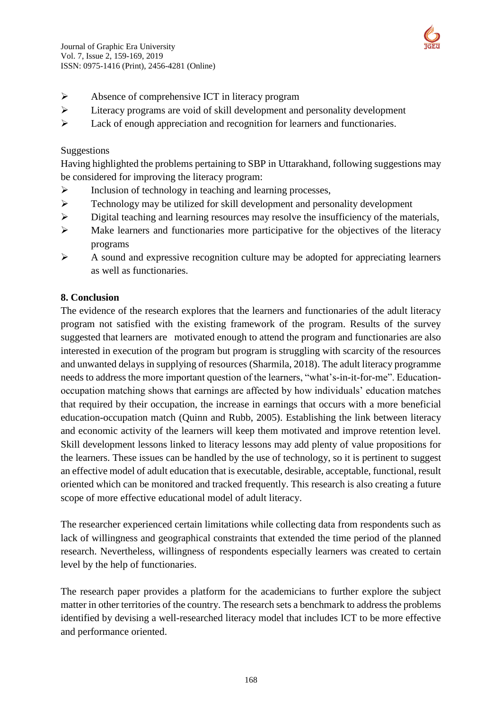

- Absence of comprehensive ICT in literacy program
- Literacy programs are void of skill development and personality development
- Eack of enough appreciation and recognition for learners and functionaries.

### Suggestions

Having highlighted the problems pertaining to SBP in Uttarakhand, following suggestions may be considered for improving the literacy program:

- $\triangleright$  Inclusion of technology in teaching and learning processes,
- $\triangleright$  Technology may be utilized for skill development and personality development
- $\triangleright$  Digital teaching and learning resources may resolve the insufficiency of the materials,
- $\triangleright$  Make learners and functionaries more participative for the objectives of the literacy programs
- $\triangleright$  A sound and expressive recognition culture may be adopted for appreciating learners as well as functionaries.

### **8. Conclusion**

The evidence of the research explores that the learners and functionaries of the adult literacy program not satisfied with the existing framework of the program. Results of the survey suggested that learners are motivated enough to attend the program and functionaries are also interested in execution of the program but program is struggling with scarcity of the resources and unwanted delays in supplying of resources (Sharmila, 2018). The adult literacy programme needs to address the more important question of the learners, "what's-in-it-for-me". Educationoccupation matching shows that earnings are affected by how individuals' education matches that required by their occupation, the increase in earnings that occurs with a more beneficial education-occupation match (Quinn and Rubb, 2005). Establishing the link between literacy and economic activity of the learners will keep them motivated and improve retention level. Skill development lessons linked to literacy lessons may add plenty of value propositions for the learners. These issues can be handled by the use of technology, so it is pertinent to suggest an effective model of adult education that is executable, desirable, acceptable, functional, result oriented which can be monitored and tracked frequently. This research is also creating a future scope of more effective educational model of adult literacy.

The researcher experienced certain limitations while collecting data from respondents such as lack of willingness and geographical constraints that extended the time period of the planned research. Nevertheless, willingness of respondents especially learners was created to certain level by the help of functionaries.

The research paper provides a platform for the academicians to further explore the subject matter in other territories of the country. The research sets a benchmark to address the problems identified by devising a well-researched literacy model that includes ICT to be more effective and performance oriented.